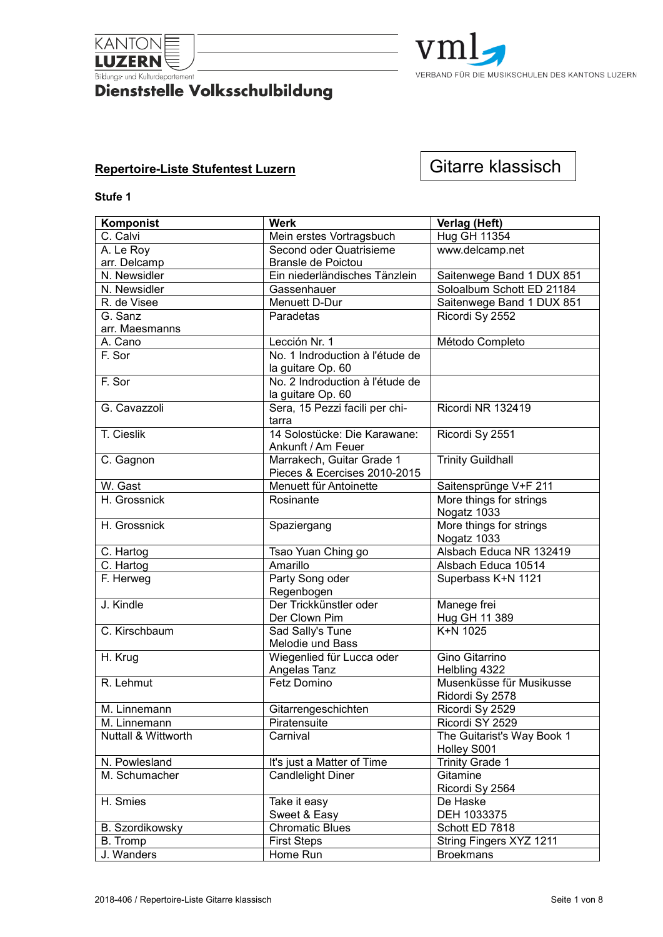

# **Example 18 Additional Containment**<br>Dienststelle Volksschulbildung



# **Repertoire-Liste Stufentest Luzern**

# Gitarre klassisch

| Komponist                      | <b>Werk</b>                     | Verlag (Heft)              |
|--------------------------------|---------------------------------|----------------------------|
| C. Calvi                       | Mein erstes Vortragsbuch        | <b>Hug GH 11354</b>        |
| A. Le Roy                      | Second oder Quatrisieme         | www.delcamp.net            |
| arr. Delcamp                   | Bransle de Poictou              |                            |
| N. Newsidler                   | Ein niederländisches Tänzlein   | Saitenwege Band 1 DUX 851  |
| N. Newsidler                   | Gassenhauer                     | Soloalbum Schott ED 21184  |
| R. de Visee                    | Menuett D-Dur                   | Saitenwege Band 1 DUX 851  |
| G. Sanz                        | Paradetas                       | Ricordi Sy 2552            |
| arr. Maesmanns                 |                                 |                            |
| A. Cano                        | Lección Nr. 1                   | Método Completo            |
| F. Sor                         | No. 1 Indroduction à l'étude de |                            |
|                                | la guitare Op. 60               |                            |
| F. Sor                         | No. 2 Indroduction à l'étude de |                            |
|                                | la guitare Op. 60               |                            |
| G. Cavazzoli                   | Sera, 15 Pezzi facili per chi-  | Ricordi NR 132419          |
|                                | tarra                           |                            |
| T. Cieslik                     | 14 Solostücke: Die Karawane:    | Ricordi Sy 2551            |
|                                | Ankunft / Am Feuer              |                            |
| C. Gagnon                      | Marrakech, Guitar Grade 1       | <b>Trinity Guildhall</b>   |
|                                | Pieces & Ecercises 2010-2015    |                            |
| W. Gast                        | Menuett für Antoinette          | Saitensprünge V+F 211      |
| H. Grossnick                   | Rosinante                       | More things for strings    |
|                                |                                 | Nogatz 1033                |
| H. Grossnick                   | Spaziergang                     | More things for strings    |
|                                |                                 | Nogatz 1033                |
| C. Hartog                      | Tsao Yuan Ching go              | Alsbach Educa NR 132419    |
| C. Hartog                      | Amarillo                        | Alsbach Educa 10514        |
| F. Herweg                      | Party Song oder                 | Superbass K+N 1121         |
|                                | Regenbogen                      |                            |
| J. Kindle                      | Der Trickkünstler oder          | Manege frei                |
|                                | Der Clown Pim                   | Hug GH 11 389              |
| C. Kirschbaum                  | Sad Sally's Tune                | K+N 1025                   |
|                                | Melodie und Bass                |                            |
| H. Krug                        | Wiegenlied für Lucca oder       | Gino Gitarrino             |
|                                | Angelas Tanz                    | Helbling 4322              |
| $\overline{R}$ . Lehmut        | Fetz Domino                     | Musenküsse für Musikusse   |
|                                |                                 | Ridordi Sy 2578            |
| M. Linnemann                   | Gitarrengeschichten             | Ricordi Sy 2529            |
| M. Linnemann                   | Piratensuite                    | Ricordi SY 2529            |
| <b>Nuttall &amp; Wittworth</b> | Carnival                        | The Guitarist's Way Book 1 |
|                                |                                 | Holley S001                |
| N. Powlesland                  | It's just a Matter of Time      | <b>Trinity Grade 1</b>     |
| M. Schumacher                  | <b>Candlelight Diner</b>        | Gitamine                   |
|                                |                                 | Ricordi Sy 2564            |
| H. Smies                       | Take it easy                    | De Haske                   |
|                                | Sweet & Easy                    | DEH 1033375                |
| <b>B.</b> Szordikowsky         | Chromatic Blues                 | Schott ED 7818             |
| B. Tromp                       | <b>First Steps</b>              | String Fingers XYZ 1211    |
| J. Wanders                     | Home Run                        | <b>Broekmans</b>           |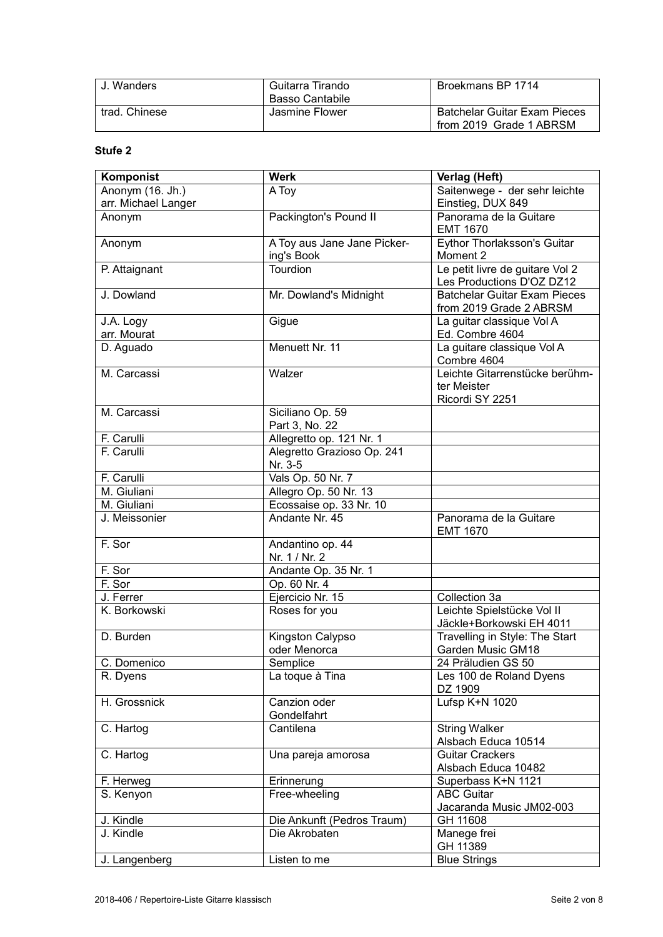| J. Wanders    | Guitarra Tirando | Broekmans BP 1714                   |
|---------------|------------------|-------------------------------------|
|               | Basso Cantabile  |                                     |
| trad. Chinese | Jasmine Flower   | <b>Batchelar Guitar Exam Pieces</b> |
|               |                  | from 2019 Grade 1 ABRSM             |

| Komponist           | <b>Werk</b>                 | Verlag (Heft)                                                  |
|---------------------|-----------------------------|----------------------------------------------------------------|
| Anonym (16. Jh.)    | A Toy                       | Saitenwege - der sehr leichte                                  |
| arr. Michael Langer |                             | Einstieg, DUX 849                                              |
| Anonym              | Packington's Pound II       | Panorama de la Guitare                                         |
|                     |                             | <b>EMT 1670</b>                                                |
| Anonym              | A Toy aus Jane Jane Picker- | <b>Eythor Thorlaksson's Guitar</b>                             |
|                     | ing's Book                  | Moment 2                                                       |
| P. Attaignant       | <b>Tourdion</b>             | Le petit livre de guitare Vol 2                                |
|                     |                             | Les Productions D'OZ DZ12                                      |
| J. Dowland          | Mr. Dowland's Midnight      | <b>Batchelar Guitar Exam Pieces</b><br>from 2019 Grade 2 ABRSM |
| J.A. Logy           | Gigue                       | La guitar classique Vol A                                      |
| arr. Mourat         |                             | Ed. Combre 4604                                                |
| D. Aguado           | Menuett Nr. 11              | La guitare classique Vol A                                     |
|                     |                             | Combre 4604                                                    |
| M. Carcassi         | Walzer                      | Leichte Gitarrenstücke berühm-                                 |
|                     |                             | ter Meister                                                    |
|                     |                             | Ricordi SY 2251                                                |
| M. Carcassi         | Siciliano Op. 59            |                                                                |
|                     | Part 3, No. 22              |                                                                |
| F. Carulli          | Allegretto op. 121 Nr. 1    |                                                                |
| F. Carulli          | Alegretto Grazioso Op. 241  |                                                                |
|                     | Nr. 3-5                     |                                                                |
| F. Carulli          | Vals Op. 50 Nr. 7           |                                                                |
| M. Giuliani         | Allegro Op. 50 Nr. 13       |                                                                |
| M. Giuliani         | Ecossaise op. 33 Nr. 10     |                                                                |
| J. Meissonier       | Andante Nr. 45              | Panorama de la Guitare<br><b>EMT 1670</b>                      |
| F. Sor              | Andantino op. 44            |                                                                |
|                     | Nr. 1 / Nr. 2               |                                                                |
| F. Sor              | Andante Op. 35 Nr. 1        |                                                                |
| F. Sor              | Op. 60 Nr. 4                |                                                                |
| J. Ferrer           | Ejercicio Nr. 15            | Collection 3a                                                  |
| K. Borkowski        | Roses for you               | Leichte Spielstücke Vol II                                     |
|                     |                             | Jäckle+Borkowski EH 4011                                       |
| D. Burden           | Kingston Calypso            | Travelling in Style: The Start                                 |
|                     | oder Menorca                | Garden Music GM18                                              |
| C. Domenico         | Semplice                    | 24 Präludien GS 50                                             |
| R. Dyens            | La toque à Tina             | Les 100 de Roland Dyens                                        |
|                     |                             | DZ 1909                                                        |
| H. Grossnick        | Canzion oder                | Lufsp K+N 1020                                                 |
|                     | Gondelfahrt                 |                                                                |
| C. Hartog           | Cantilena                   | <b>String Walker</b>                                           |
|                     |                             | Alsbach Educa 10514                                            |
| C. Hartog           | Una pareja amorosa          | <b>Guitar Crackers</b>                                         |
|                     |                             | Alsbach Educa 10482                                            |
| F. Herweg           | Erinnerung                  | Superbass K+N 1121                                             |
| S. Kenyon           | Free-wheeling               | <b>ABC Guitar</b>                                              |
|                     |                             | Jacaranda Music JM02-003                                       |
| J. Kindle           | Die Ankunft (Pedros Traum)  | GH 11608                                                       |
| J. Kindle           | Die Akrobaten               | Manege frei                                                    |
|                     |                             | GH 11389                                                       |
| J. Langenberg       | Listen to me                | <b>Blue Strings</b>                                            |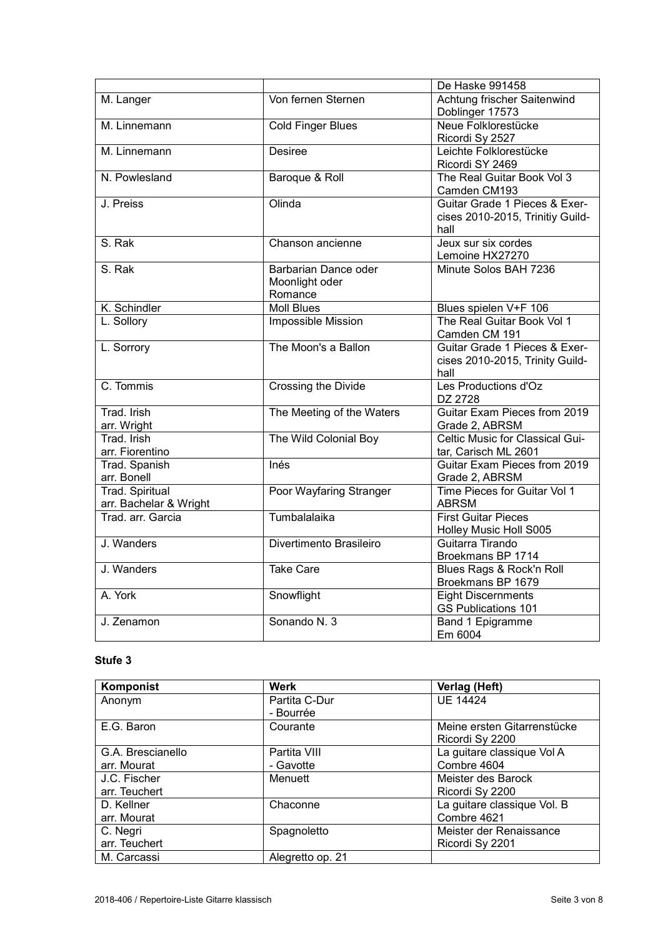|                        |                           | De Haske 991458                            |
|------------------------|---------------------------|--------------------------------------------|
| M. Langer              | Von fernen Sternen        | Achtung frischer Saitenwind                |
|                        |                           | Doblinger 17573                            |
| M. Linnemann           | <b>Cold Finger Blues</b>  | Neue Folklorestücke                        |
|                        |                           | Ricordi Sy 2527                            |
| M. Linnemann           | <b>Desiree</b>            | Leichte Folklorestücke                     |
|                        |                           | Ricordi SY 2469                            |
| N. Powlesland          | Baroque & Roll            | The Real Guitar Book Vol 3<br>Camden CM193 |
| J. Preiss              | Olinda                    | Guitar Grade 1 Pieces & Exer-              |
|                        |                           | cises 2010-2015, Trinitiy Guild-           |
|                        |                           | hall                                       |
| S. Rak                 | Chanson ancienne          | Jeux sur six cordes                        |
|                        |                           | Lemoine HX27270                            |
| S. Rak                 | Barbarian Dance oder      | Minute Solos BAH 7236                      |
|                        | Moonlight oder            |                                            |
|                        | Romance                   |                                            |
| K. Schindler           | <b>Moll Blues</b>         | Blues spielen V+F 106                      |
| L. Sollory             | Impossible Mission        | The Real Guitar Book Vol 1                 |
|                        |                           | Camden CM 191                              |
| L. Sorrory             | The Moon's a Ballon       | Guitar Grade 1 Pieces & Exer-              |
|                        |                           | cises 2010-2015, Trinity Guild-            |
|                        |                           | hall                                       |
| C. Tommis              | Crossing the Divide       | Les Productions d'Oz                       |
|                        |                           | DZ 2728                                    |
| Trad. Irish            | The Meeting of the Waters | Guitar Exam Pieces from 2019               |
| arr. Wright            |                           | Grade 2, ABRSM                             |
| Trad. Irish            | The Wild Colonial Boy     | Celtic Music for Classical Gui-            |
| arr. Fiorentino        |                           | tar, Carisch ML 2601                       |
| Trad. Spanish          | Inés                      | Guitar Exam Pieces from 2019               |
| arr. Bonell            |                           | Grade 2, ABRSM                             |
| <b>Trad. Spiritual</b> | Poor Wayfaring Stranger   | Time Pieces for Guitar Vol 1               |
| arr. Bachelar & Wright |                           | <b>ABRSM</b>                               |
| Trad. arr. Garcia      | Tumbalalaika              | <b>First Guitar Pieces</b>                 |
|                        |                           | Holley Music Holl S005                     |
| J. Wanders             | Divertimento Brasileiro   | Guitarra Tirando                           |
|                        |                           | Broekmans BP 1714                          |
| J. Wanders             | <b>Take Care</b>          | Blues Rags & Rock'n Roll                   |
|                        |                           | Broekmans BP 1679                          |
| A. York                | Snowflight                | <b>Eight Discernments</b>                  |
|                        |                           | <b>GS Publications 101</b>                 |
| J. Zenamon             | Sonando N. 3              | Band 1 Epigramme                           |
|                        |                           | Em 6004                                    |

| Komponist         | Werk             | Verlag (Heft)               |
|-------------------|------------------|-----------------------------|
| Anonym            | Partita C-Dur    | <b>UE 14424</b>             |
|                   | - Bourrée        |                             |
| E.G. Baron        | Courante         | Meine ersten Gitarrenstücke |
|                   |                  | Ricordi Sy 2200             |
| G.A. Brescianello | Partita VIII     | La guitare classique Vol A  |
| arr. Mourat       | - Gavotte        | Combre 4604                 |
| J.C. Fischer      | Menuett          | Meister des Barock          |
| arr. Teuchert     |                  | Ricordi Sy 2200             |
| D. Kellner        | Chaconne         | La guitare classique Vol. B |
| arr. Mourat       |                  | Combre 4621                 |
| C. Negri          | Spagnoletto      | Meister der Renaissance     |
| arr. Teuchert     |                  | Ricordi Sy 2201             |
| M. Carcassi       | Alegretto op. 21 |                             |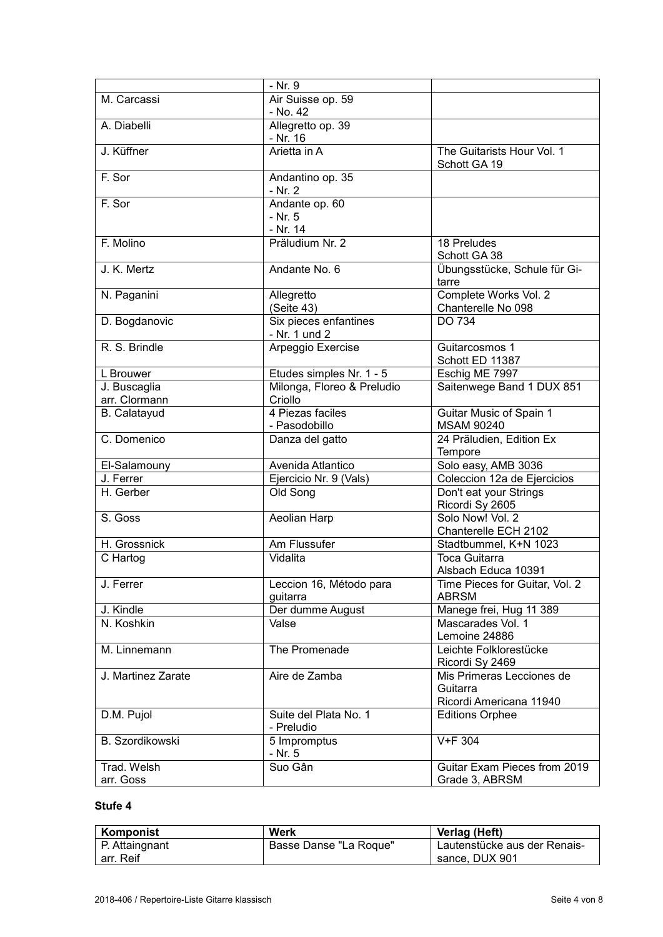|                          | - Nr. 9                                 |                                                                  |
|--------------------------|-----------------------------------------|------------------------------------------------------------------|
| M. Carcassi              | Air Suisse op. 59                       |                                                                  |
|                          | - No. 42                                |                                                                  |
| A. Diabelli              | Allegretto op. 39                       |                                                                  |
|                          | - Nr. 16                                |                                                                  |
| J. Küffner               | Arietta in A                            | The Guitarists Hour Vol. 1<br>Schott GA 19                       |
| F. Sor                   | Andantino op. 35<br>- Nr. 2             |                                                                  |
| F. Sor                   | Andante op. 60<br>$- Nr. 5$<br>- Nr. 14 |                                                                  |
| F. Molino                | Präludium Nr. 2                         | 18 Preludes<br>Schott GA 38                                      |
| J. K. Mertz              | Andante No. 6                           | Übungsstücke, Schule für Gi-<br>tarre                            |
| N. Paganini              | Allegretto<br>(Seite 43)                | Complete Works Vol. 2<br>Chanterelle No 098                      |
| D. Bogdanovic            | Six pieces enfantines<br>- Nr. 1 und 2  | DO 734                                                           |
| R. S. Brindle            | Arpeggio Exercise                       | Guitarcosmos 1<br>Schott ED 11387                                |
| L Brouwer                | Etudes simples Nr. 1 - 5                | Eschig ME 7997                                                   |
| J. Buscaglia             | Milonga, Floreo & Preludio              | Saitenwege Band 1 DUX 851                                        |
| arr. Clormann            | Criollo                                 |                                                                  |
| <b>B.</b> Calatayud      | 4 Piezas faciles<br>- Pasodobillo       | Guitar Music of Spain 1<br><b>MSAM 90240</b>                     |
| C. Domenico              | Danza del gatto                         | 24 Präludien, Edition Ex<br>Tempore                              |
| El-Salamouny             | Avenida Atlantico                       | Solo easy, AMB 3036                                              |
| J. Ferrer                | Ejercicio Nr. 9 (Vals)                  | Coleccion 12a de Ejercicios                                      |
| H. Gerber                | Old Song                                | Don't eat your Strings<br>Ricordi Sy 2605                        |
| S. Goss                  | Aeolian Harp                            | Solo Now! Vol. 2<br>Chanterelle ECH 2102                         |
| H. Grossnick             | Am Flussufer                            | Stadtbummel, K+N 1023                                            |
| C Hartog                 | Vidalita                                | <b>Toca Guitarra</b>                                             |
|                          |                                         | Alsbach Educa 10391                                              |
| J. Ferrer                | Leccion 16, Método para<br>guitarra     | Time Pieces for Guitar, Vol. 2<br><b>ABRSM</b>                   |
| J. Kindle                | Der dumme August                        | Manege frei, Hug 11 389                                          |
| N. Koshkin               | Valse                                   | Mascarades Vol. 1<br>Lemoine 24886                               |
| M. Linnemann             | The Promenade                           | Leichte Folklorestücke<br>Ricordi Sy 2469                        |
| J. Martinez Zarate       | Aire de Zamba                           | Mis Primeras Lecciones de<br>Guitarra<br>Ricordi Americana 11940 |
| D.M. Pujol               | Suite del Plata No. 1<br>- Preludio     | <b>Editions Orphee</b>                                           |
| B. Szordikowski          | 5 Impromptus<br>- Nr. 5                 | V+F 304                                                          |
| Trad. Welsh<br>arr. Goss | Suo Gân                                 | Guitar Exam Pieces from 2019<br>Grade 3, ABRSM                   |

| Komponist      | Werk                   | Verlag (Heft)                |
|----------------|------------------------|------------------------------|
| P. Attaingnant | Basse Danse "La Roque" | Lautenstücke aus der Renais- |
| arr. Reif      |                        | sance, DUX 901               |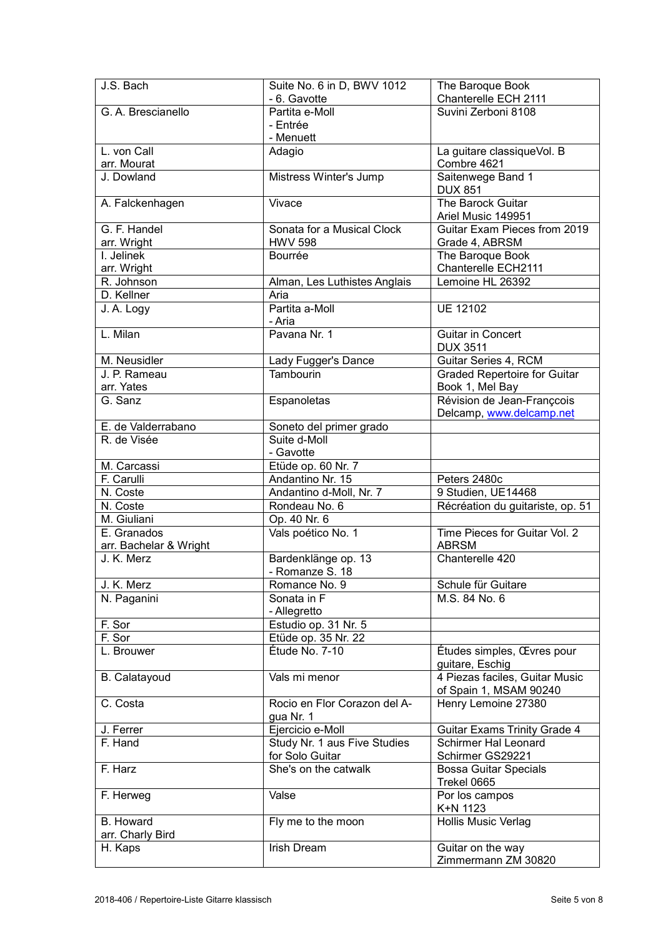| J.S. Bach                      | Suite No. 6 in D, BWV 1012                  | The Baroque Book                                                   |
|--------------------------------|---------------------------------------------|--------------------------------------------------------------------|
|                                | - 6. Gavotte                                | Chanterelle ECH 2111                                               |
| G. A. Brescianello             | Partita e-Moll                              | Suvini Zerboni 8108                                                |
|                                | - Entrée                                    |                                                                    |
| L. von Call                    | - Menuett                                   |                                                                    |
| arr. Mourat                    | Adagio                                      | La guitare classiqueVol. B<br>Combre 4621                          |
| J. Dowland                     | Mistress Winter's Jump                      | Saitenwege Band 1                                                  |
|                                |                                             | <b>DUX 851</b>                                                     |
| A. Falckenhagen                | Vivace                                      | The Barock Guitar                                                  |
|                                |                                             | Ariel Music 149951                                                 |
| G. F. Handel                   | Sonata for a Musical Clock                  | Guitar Exam Pieces from 2019                                       |
| arr. Wright                    | <b>HWV 598</b>                              | Grade 4, ABRSM                                                     |
| $\overline{I}$ . Jelinek       | Bourrée                                     | The Baroque Book                                                   |
| arr. Wright                    |                                             | Chanterelle ECH2111                                                |
| R. Johnson                     | Alman, Les Luthistes Anglais                | Lemoine HL 26392                                                   |
| D. Kellner                     | Aria                                        |                                                                    |
| J. A. Logy                     | Partita a-Moll                              | <b>UE 12102</b>                                                    |
|                                | - Aria                                      |                                                                    |
| L. Milan                       | Pavana Nr. 1                                | <b>Guitar in Concert</b>                                           |
|                                |                                             | <b>DUX 3511</b>                                                    |
| M. Neusidler                   | Lady Fugger's Dance                         | Guitar Series 4, RCM                                               |
| J. P. Rameau                   | Tambourin                                   | <b>Graded Repertoire for Guitar</b>                                |
| arr. Yates                     |                                             | Book 1, Mel Bay                                                    |
| G. Sanz                        | Espanoletas                                 | Révision de Jean-Françcois                                         |
|                                |                                             | Delcamp, www.delcamp.net                                           |
| E. de Valderrabano             | Soneto del primer grado                     |                                                                    |
| R. de Visée                    | Suite d-Moll<br>- Gavotte                   |                                                                    |
| M. Carcassi                    | Etüde op. 60 Nr. 7                          |                                                                    |
| F. Carulli                     | Andantino Nr. 15                            | Peters 2480c                                                       |
| N. Coste                       | Andantino d-Moll, Nr. 7                     | 9 Studien, UE14468                                                 |
| N. Coste                       | Rondeau No. 6                               | Récréation du guitariste, op. 51                                   |
| M. Giuliani                    | Op. 40 Nr. 6                                |                                                                    |
| E. Granados                    | Vals poético No. 1                          | Time Pieces for Guitar Vol. 2                                      |
| arr. Bachelar & Wright         |                                             | <b>ABRSM</b>                                                       |
| J. K. Merz                     | Bardenklänge op. 13                         | Chanterelle 420                                                    |
|                                | - Romanze S. 18                             |                                                                    |
| J. K. Merz                     | Romance No. 9                               | Schule für Guitare                                                 |
| N. Paganini                    | Sonata in F                                 | M.S. 84 No. 6                                                      |
|                                | - Allegretto                                |                                                                    |
| F. Sor<br>$\overline{F}$ . Sor | Estudio op. 31 Nr. 5<br>Etüde op. 35 Nr. 22 |                                                                    |
| L. Brouwer                     | Étude No. 7-10                              | Études simples, Œvres pour                                         |
|                                |                                             | guitare, Eschig                                                    |
| <b>B.</b> Calatayoud           | Vals mi menor                               | 4 Piezas faciles, Guitar Music                                     |
|                                |                                             | of Spain 1, MSAM 90240                                             |
| C. Costa                       | Rocio en Flor Corazon del A-                | Henry Lemoine 27380                                                |
|                                | gua Nr. 1                                   |                                                                    |
| J. Ferrer                      |                                             |                                                                    |
| F. Hand                        | Ejercicio e-Moll                            |                                                                    |
|                                | Study Nr. 1 aus Five Studies                | <b>Guitar Exams Trinity Grade 4</b><br><b>Schirmer Hal Leonard</b> |
|                                | for Solo Guitar                             | Schirmer GS29221                                                   |
| F. Harz                        | She's on the catwalk                        | <b>Bossa Guitar Specials</b>                                       |
|                                |                                             | Trekel 0665                                                        |
| F. Herweg                      | Valse                                       | Por los campos                                                     |
|                                |                                             | K+N 1123                                                           |
| <b>B.</b> Howard               | Fly me to the moon                          | <b>Hollis Music Verlag</b>                                         |
| arr. Charly Bird               |                                             |                                                                    |
| H. Kaps                        | <b>Irish Dream</b>                          | Guitar on the way<br>Zimmermann ZM 30820                           |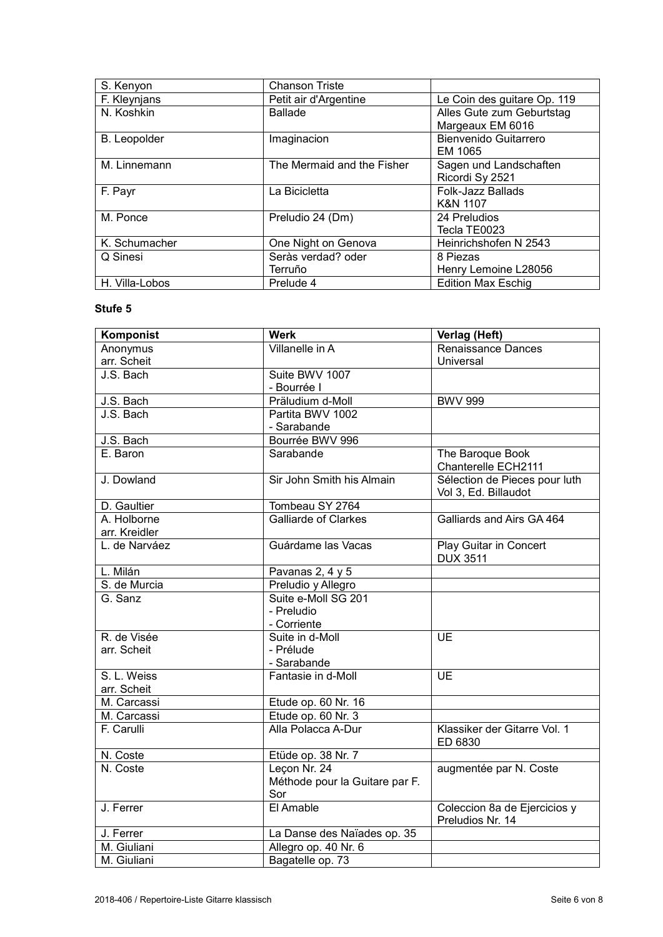| S. Kenyon           | <b>Chanson Triste</b>      |                             |
|---------------------|----------------------------|-----------------------------|
| F. Kleynjans        | Petit air d'Argentine      | Le Coin des guitare Op. 119 |
| N. Koshkin          | <b>Ballade</b>             | Alles Gute zum Geburtstag   |
|                     |                            | Margeaux EM 6016            |
| <b>B.</b> Leopolder | Imaginacion                | Bienvenido Guitarrero       |
|                     |                            | EM 1065                     |
| M. Linnemann        | The Mermaid and the Fisher | Sagen und Landschaften      |
|                     |                            | Ricordi Sy 2521             |
| F. Payr             | La Bicicletta              | <b>Folk-Jazz Ballads</b>    |
|                     |                            | K&N 1107                    |
| M. Ponce            | Preludio 24 (Dm)           | 24 Preludios                |
|                     |                            | Tecla TE0023                |
| K. Schumacher       | One Night on Genova        | Heinrichshofen N 2543       |
| Q Sinesi            | Seràs verdad? oder         | 8 Piezas                    |
|                     | Terruño                    | Henry Lemoine L28056        |
| H. Villa-Lobos      | Prelude 4                  | <b>Edition Max Eschig</b>   |

| Komponist     | <b>Werk</b>                    | Verlag (Heft)                 |
|---------------|--------------------------------|-------------------------------|
| Anonymus      | Villanelle in A                | <b>Renaissance Dances</b>     |
| arr. Scheit   |                                | Universal                     |
| J.S. Bach     | Suite BWV 1007                 |                               |
|               | - Bourrée I                    |                               |
| J.S. Bach     | Präludium d-Moll               | <b>BWV 999</b>                |
| J.S. Bach     | Partita BWV 1002               |                               |
|               | - Sarabande                    |                               |
| J.S. Bach     | Bourrée BWV 996                |                               |
| E. Baron      | Sarabande                      | The Baroque Book              |
|               |                                | Chanterelle ECH2111           |
| J. Dowland    | Sir John Smith his Almain      | Sélection de Pieces pour luth |
|               |                                | Vol 3, Ed. Billaudot          |
| D. Gaultier   | Tombeau SY 2764                |                               |
| A. Holborne   | <b>Galliarde of Clarkes</b>    | Galliards and Airs GA 464     |
| arr. Kreidler |                                |                               |
| L. de Narváez | Guárdame las Vacas             | Play Guitar in Concert        |
|               |                                | <b>DUX 3511</b>               |
| L. Milán      | Pavanas 2, 4 y 5               |                               |
| S. de Murcia  | Preludio y Allegro             |                               |
| G. Sanz       | Suite e-Moll SG 201            |                               |
|               | - Preludio                     |                               |
|               | - Corriente                    |                               |
| R. de Visée   | Suite in d-Moll                | $\overline{UE}$               |
| arr. Scheit   | - Prélude                      |                               |
|               | - Sarabande                    |                               |
| S. L. Weiss   | Fantasie in d-Moll             | <b>UE</b>                     |
| arr. Scheit   |                                |                               |
| M. Carcassi   | Etude op. 60 Nr. 16            |                               |
| M. Carcassi   | Etude op. 60 Nr. 3             |                               |
| F. Carulli    | Alla Polacca A-Dur             | Klassiker der Gitarre Vol. 1  |
|               |                                | ED 6830                       |
| N. Coste      | Etüde op. 38 Nr. 7             |                               |
| N. Coste      | Leçon Nr. 24                   | augmentée par N. Coste        |
|               | Méthode pour la Guitare par F. |                               |
|               | Sor                            |                               |
| J. Ferrer     | El Amable                      | Coleccion 8a de Ejercicios y  |
|               |                                | Preludios Nr. 14              |
| J. Ferrer     | La Danse des Naïades op. 35    |                               |
| M. Giuliani   | Allegro op. 40 Nr. 6           |                               |
| M. Giuliani   | Bagatelle op. 73               |                               |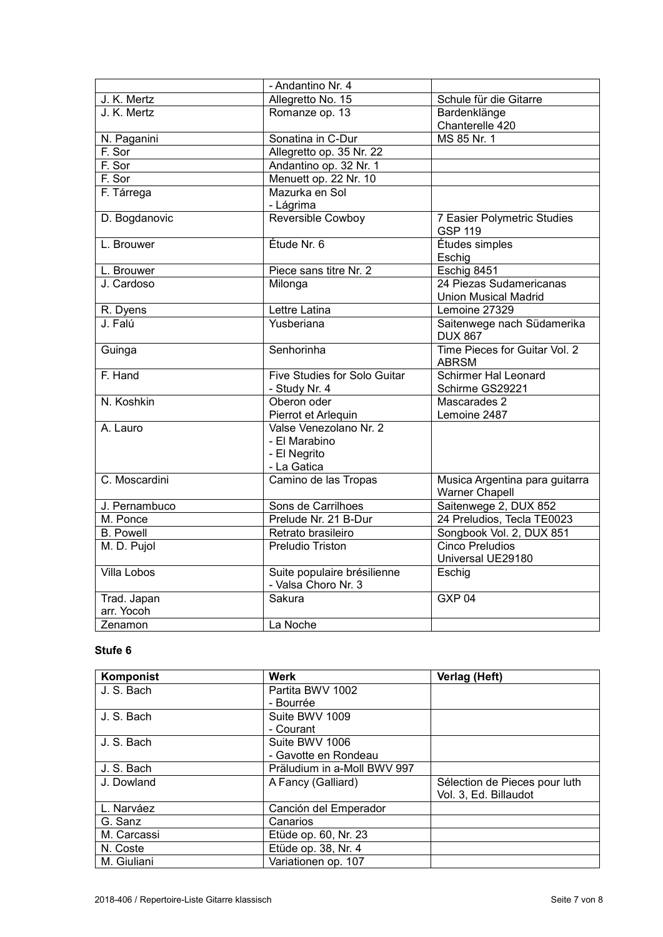|                    | - Andantino Nr. 4                                                      |                                                      |
|--------------------|------------------------------------------------------------------------|------------------------------------------------------|
| J. K. Mertz        | Allegretto No. 15                                                      | Schule für die Gitarre                               |
| J. K. Mertz        | Romanze op. 13                                                         | Bardenklänge                                         |
|                    |                                                                        | Chanterelle 420                                      |
| N. Paganini        | Sonatina in C-Dur                                                      | MS 85 Nr. 1                                          |
| F. Sor             | Allegretto op. 35 Nr. 22                                               |                                                      |
| F. Sor             | Andantino op. 32 Nr. 1                                                 |                                                      |
| F. Sor             | Menuett op. 22 Nr. 10                                                  |                                                      |
| F. Tárrega         | Mazurka en Sol                                                         |                                                      |
|                    | - Lágrima                                                              |                                                      |
| D. Bogdanovic      | Reversible Cowboy                                                      | <b>7 Easier Polymetric Studies</b><br><b>GSP 119</b> |
| L. Brouwer         | Étude Nr. 6                                                            | Études simples                                       |
|                    |                                                                        | Eschig                                               |
| L. Brouwer         | Piece sans titre Nr. 2                                                 | Eschig 8451                                          |
| J. Cardoso         | Milonga                                                                | 24 Piezas Sudamericanas                              |
|                    |                                                                        | <b>Union Musical Madrid</b>                          |
| R. Dyens           | Lettre Latina                                                          | Lemoine 27329                                        |
| J. Falú            | Yusberiana                                                             | Saitenwege nach Südamerika<br><b>DUX 867</b>         |
| Guinga             | Senhorinha                                                             | Time Pieces for Guitar Vol. 2<br><b>ABRSM</b>        |
| F. Hand            | Five Studies for Solo Guitar                                           | <b>Schirmer Hal Leonard</b>                          |
|                    | - Study Nr. 4                                                          | Schirme GS29221                                      |
| N. Koshkin         | Oberon oder                                                            | Mascarades 2                                         |
|                    | Pierrot et Arlequin                                                    | Lemoine 2487                                         |
| A. Lauro           | Valse Venezolano Nr. 2<br>- El Marabino<br>- El Negrito<br>- La Gatica |                                                      |
| C. Moscardini      | Camino de las Tropas                                                   | Musica Argentina para guitarra<br>Warner Chapell     |
| J. Pernambuco      | Sons de Carrilhoes                                                     | Saitenwege 2, DUX 852                                |
| M. Ponce           | Prelude Nr. 21 B-Dur                                                   | 24 Preludios, Tecla TE0023                           |
| <b>B.</b> Powell   | Retrato brasileiro                                                     | Songbook Vol. 2, DUX 851                             |
| M. D. Pujol        | Preludio Triston                                                       | Cinco Preludios                                      |
|                    |                                                                        | Universal UE29180                                    |
| <b>Villa Lobos</b> | Suite populaire brésilienne<br>- Valsa Choro Nr. 3                     | Eschig                                               |
| Trad. Japan        | Sakura                                                                 | GXP <sub>04</sub>                                    |
| arr. Yocoh         |                                                                        |                                                      |
| Zenamon            | La Noche                                                               |                                                      |

| Komponist   | Werk                        | Verlag (Heft)                 |
|-------------|-----------------------------|-------------------------------|
| J. S. Bach  | Partita BWV 1002            |                               |
|             | - Bourrée                   |                               |
| J. S. Bach  | Suite BWV 1009              |                               |
|             | - Courant                   |                               |
| J. S. Bach  | Suite BWV 1006              |                               |
|             | - Gavotte en Rondeau        |                               |
| J. S. Bach  | Präludium in a-Moll BWV 997 |                               |
| J. Dowland  | A Fancy (Galliard)          | Sélection de Pieces pour luth |
|             |                             | Vol. 3, Ed. Billaudot         |
| L. Narváez  | Canción del Emperador       |                               |
| G. Sanz     | Canarios                    |                               |
| M. Carcassi | Etüde op. 60, Nr. 23        |                               |
| N. Coste    | Etüde op. 38, Nr. 4         |                               |
| M. Giuliani | Variationen op. 107         |                               |